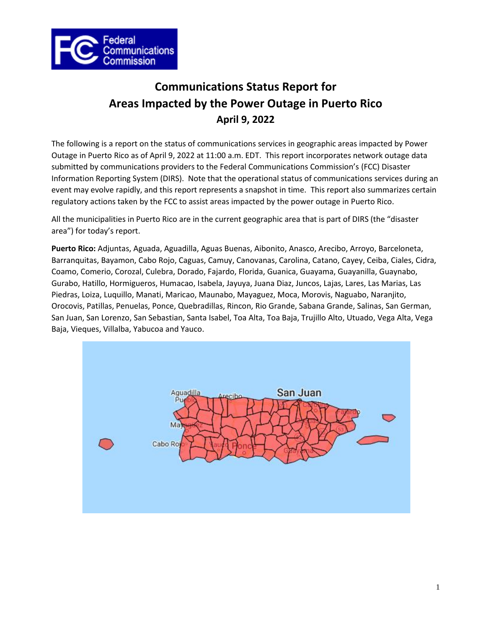

# **Communications Status Report for Areas Impacted by the Power Outage in Puerto Rico April 9, 2022**

The following is a report on the status of communications services in geographic areas impacted by Power Outage in Puerto Rico as of April 9, 2022 at 11:00 a.m. EDT. This report incorporates network outage data submitted by communications providers to the Federal Communications Commission's (FCC) Disaster Information Reporting System (DIRS). Note that the operational status of communications services during an event may evolve rapidly, and this report represents a snapshot in time. This report also summarizes certain regulatory actions taken by the FCC to assist areas impacted by the power outage in Puerto Rico.

All the municipalities in Puerto Rico are in the current geographic area that is part of DIRS (the "disaster area") for today's report.

**Puerto Rico:** Adjuntas, Aguada, Aguadilla, Aguas Buenas, Aibonito, Anasco, Arecibo, Arroyo, Barceloneta, Barranquitas, Bayamon, Cabo Rojo, Caguas, Camuy, Canovanas, Carolina, Catano, Cayey, Ceiba, Ciales, Cidra, Coamo, Comerio, Corozal, Culebra, Dorado, Fajardo, Florida, Guanica, Guayama, Guayanilla, Guaynabo, Gurabo, Hatillo, Hormigueros, Humacao, Isabela, Jayuya, Juana Diaz, Juncos, Lajas, Lares, Las Marias, Las Piedras, Loiza, Luquillo, Manati, Maricao, Maunabo, Mayaguez, Moca, Morovis, Naguabo, Naranjito, Orocovis, Patillas, Penuelas, Ponce, Quebradillas, Rincon, Rio Grande, Sabana Grande, Salinas, San German, San Juan, San Lorenzo, San Sebastian, Santa Isabel, Toa Alta, Toa Baja, Trujillo Alto, Utuado, Vega Alta, Vega Baja, Vieques, Villalba, Yabucoa and Yauco.

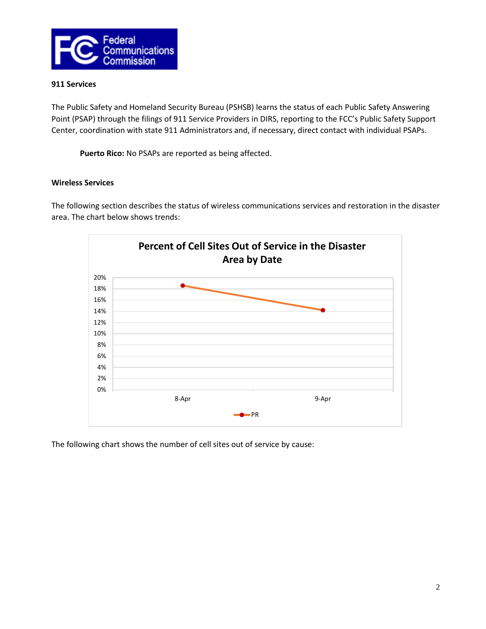

### **911 Services**

The Public Safety and Homeland Security Bureau (PSHSB) learns the status of each Public Safety Answering Point (PSAP) through the filings of 911 Service Providers in DIRS, reporting to the FCC's Public Safety Support Center, coordination with state 911 Administrators and, if necessary, direct contact with individual PSAPs.

**Puerto Rico:** No PSAPs are reported as being affected.

## **Wireless Services**

The following section describes the status of wireless communications services and restoration in the disaster area. The chart below shows trends:



The following chart shows the number of cell sites out of service by cause: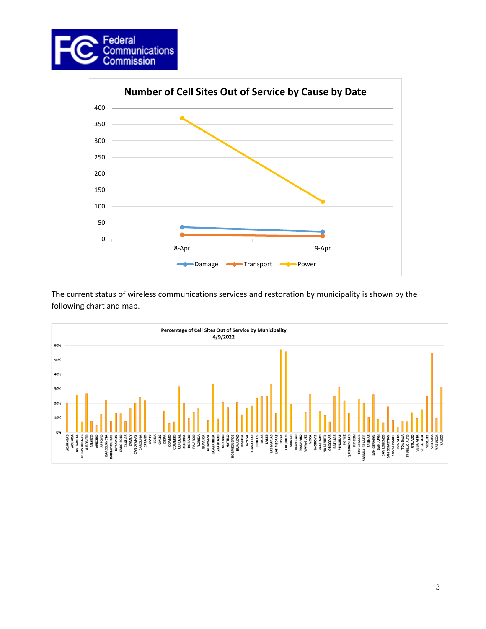



The current status of wireless communications services and restoration by municipality is shown by the following chart and map.

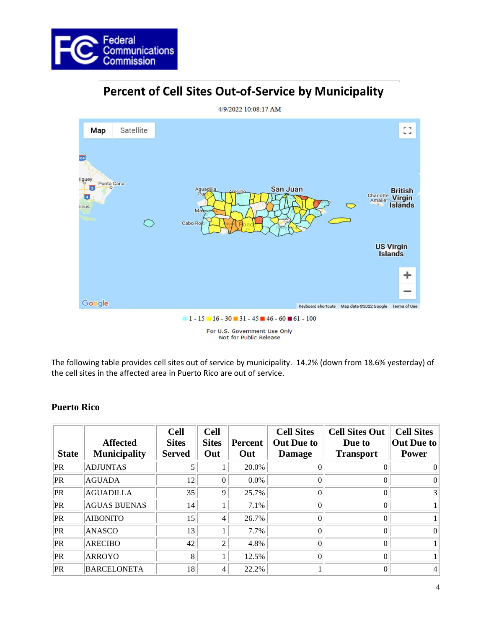

# Percent of Cell Sites Out-of-Service by Municipality



The following table provides cell sites out of service by municipality. 14.2% (down from 18.6% yesterday) of the cell sites in the affected area in Puerto Rico are out of service.

# **Puerto Rico**

| <b>State</b> | <b>Affected</b><br><b>Municipality</b> | <b>Cell</b><br><b>Sites</b><br><b>Served</b> | <b>Cell</b><br><b>Sites</b><br>Out | Percent<br>Out | <b>Cell Sites</b><br><b>Out Due to</b><br><b>Damage</b> | <b>Cell Sites Out</b><br>Due to<br><b>Transport</b> | <b>Cell Sites</b><br>Out Due to<br><b>Power</b> |
|--------------|----------------------------------------|----------------------------------------------|------------------------------------|----------------|---------------------------------------------------------|-----------------------------------------------------|-------------------------------------------------|
| PR           | <b>ADJUNTAS</b>                        |                                              |                                    | 20.0%          | 0                                                       |                                                     | $\Omega$                                        |
| PR           | <b>AGUADA</b>                          | 12                                           | 0                                  | $0.0\%$        | 0                                                       | $\theta$                                            | $\Omega$                                        |
| PR           | <b>AGUADILLA</b>                       | 35                                           | 9                                  | 25.7%          | 0                                                       | $\theta$                                            | $\mathfrak{Z}$                                  |
| PR           | <b>AGUAS BUENAS</b>                    | 14                                           |                                    | 7.1%           | 0                                                       | $\Omega$                                            |                                                 |
| PR           | <b>AIBONITO</b>                        | 15                                           | 4                                  | 26.7%          | 0                                                       | $\Omega$                                            |                                                 |
| PR           | ANASCO                                 | 13                                           |                                    | 7.7%           | 0                                                       | $\Omega$                                            | $\Omega$                                        |
| PR           | <b>ARECIBO</b>                         | 42                                           | $\overline{c}$                     | 4.8%           | 0                                                       | $\theta$                                            | $\mathbf{1}$                                    |
| PR           | <b>ARROYO</b>                          | 8                                            |                                    | 12.5%          | 0                                                       | $\Omega$                                            |                                                 |
| PR           | <b>BARCELONETA</b>                     | 18                                           | 4                                  | 22.2%          |                                                         | $\Omega$                                            | $\overline{4}$                                  |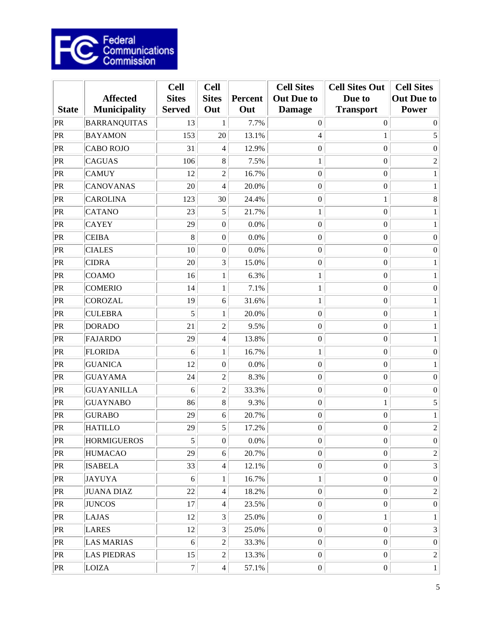

| <b>State</b> | <b>Affected</b><br><b>Municipality</b> | <b>Cell</b><br><b>Sites</b><br><b>Served</b> | <b>Cell</b><br><b>Sites</b><br>Out | <b>Percent</b><br>Out | <b>Cell Sites</b><br><b>Out Due to</b><br><b>Damage</b> | <b>Cell Sites Out</b><br>Due to<br><b>Transport</b> | <b>Cell Sites</b><br><b>Out Due to</b><br><b>Power</b> |
|--------------|----------------------------------------|----------------------------------------------|------------------------------------|-----------------------|---------------------------------------------------------|-----------------------------------------------------|--------------------------------------------------------|
| PR           | <b>BARRANQUITAS</b>                    | 13                                           | 1                                  | 7.7%                  | $\boldsymbol{0}$                                        | $\overline{0}$                                      | $\Omega$                                               |
| PR           | <b>BAYAMON</b>                         | 153                                          | 20                                 | 13.1%                 | $\overline{4}$                                          | $\mathbf{1}$                                        | $\sqrt{5}$                                             |
| PR           | <b>CABO ROJO</b>                       | 31                                           | 4                                  | 12.9%                 | $\boldsymbol{0}$                                        | $\boldsymbol{0}$                                    | $\boldsymbol{0}$                                       |
| PR           | <b>CAGUAS</b>                          | 106                                          | 8                                  | 7.5%                  | $\mathbf{1}$                                            | $\boldsymbol{0}$                                    | $\sqrt{2}$                                             |
| PR           | <b>CAMUY</b>                           | 12                                           | $\overline{2}$                     | 16.7%                 | $\boldsymbol{0}$                                        | $\boldsymbol{0}$                                    | $\mathbf{1}$                                           |
| PR           | <b>CANOVANAS</b>                       | 20                                           | $\overline{\mathcal{L}}$           | 20.0%                 | $\boldsymbol{0}$                                        | $\boldsymbol{0}$                                    | 1                                                      |
| PR           | <b>CAROLINA</b>                        | 123                                          | 30                                 | 24.4%                 | $\boldsymbol{0}$                                        | $\mathbf{1}$                                        | 8                                                      |
| PR           | <b>CATANO</b>                          | 23                                           | 5                                  | 21.7%                 | $\mathbf{1}$                                            | $\boldsymbol{0}$                                    | $\mathbf{1}$                                           |
| PR           | <b>CAYEY</b>                           | 29                                           | $\boldsymbol{0}$                   | 0.0%                  | $\boldsymbol{0}$                                        | $\boldsymbol{0}$                                    | 1                                                      |
| PR           | <b>CEIBA</b>                           | 8                                            | $\boldsymbol{0}$                   | 0.0%                  | $\boldsymbol{0}$                                        | $\boldsymbol{0}$                                    | $\boldsymbol{0}$                                       |
| PR           | <b>CIALES</b>                          | 10                                           | $\boldsymbol{0}$                   | 0.0%                  | $\boldsymbol{0}$                                        | $\boldsymbol{0}$                                    | $\boldsymbol{0}$                                       |
| PR           | <b>CIDRA</b>                           | 20                                           | 3                                  | 15.0%                 | $\boldsymbol{0}$                                        | $\boldsymbol{0}$                                    | 1                                                      |
| PR           | <b>COAMO</b>                           | 16                                           | 1                                  | 6.3%                  | $\mathbf{1}$                                            | $\boldsymbol{0}$                                    | 1                                                      |
| PR           | <b>COMERIO</b>                         | 14                                           | $\mathbf{1}$                       | 7.1%                  | $\mathbf{1}$                                            | $\boldsymbol{0}$                                    | $\boldsymbol{0}$                                       |
| PR           | <b>COROZAL</b>                         | 19                                           | 6                                  | 31.6%                 | 1                                                       | $\boldsymbol{0}$                                    | 1                                                      |
| PR           | <b>CULEBRA</b>                         | 5                                            | 1                                  | 20.0%                 | $\boldsymbol{0}$                                        | $\boldsymbol{0}$                                    | 1                                                      |
| PR           | <b>DORADO</b>                          | 21                                           | $\overline{2}$                     | 9.5%                  | $\boldsymbol{0}$                                        | $\boldsymbol{0}$                                    | $\mathbf{1}$                                           |
| PR           | <b>FAJARDO</b>                         | 29                                           | $\overline{\mathcal{L}}$           | 13.8%                 | $\boldsymbol{0}$                                        | $\boldsymbol{0}$                                    | 1                                                      |
| PR           | <b>FLORIDA</b>                         | 6                                            | 1                                  | 16.7%                 | $\mathbf{1}$                                            | $\boldsymbol{0}$                                    | $\boldsymbol{0}$                                       |
| PR           | <b>GUANICA</b>                         | 12                                           | $\boldsymbol{0}$                   | 0.0%                  | $\boldsymbol{0}$                                        | $\boldsymbol{0}$                                    | 1                                                      |
| PR           | <b>GUAYAMA</b>                         | 24                                           | $\overline{c}$                     | 8.3%                  | $\boldsymbol{0}$                                        | $\boldsymbol{0}$                                    | $\boldsymbol{0}$                                       |
| PR           | <b>GUAYANILLA</b>                      | 6                                            | $\overline{c}$                     | 33.3%                 | $\boldsymbol{0}$                                        | $\boldsymbol{0}$                                    | $\boldsymbol{0}$                                       |
| PR           | <b>GUAYNABO</b>                        | 86                                           | 8                                  | 9.3%                  | $\boldsymbol{0}$                                        | $\,1$                                               | $\sqrt{5}$                                             |
| PR           | <b>GURABO</b>                          | 29                                           | 6                                  | 20.7%                 | $\boldsymbol{0}$                                        | $\boldsymbol{0}$                                    | $\mathbf{1}$                                           |
| PR           | <b>HATILLO</b>                         | 29                                           | 5                                  | 17.2%                 | $\boldsymbol{0}$                                        | $\boldsymbol{0}$                                    | $\sqrt{2}$                                             |
| PR           | <b>HORMIGUEROS</b>                     | 5                                            | $\boldsymbol{0}$                   | 0.0%                  | $\boldsymbol{0}$                                        | $\boldsymbol{0}$                                    | $\boldsymbol{0}$                                       |
| PR           | <b>HUMACAO</b>                         | 29                                           | 6                                  | 20.7%                 | $\boldsymbol{0}$                                        | $\boldsymbol{0}$                                    | $\sqrt{2}$                                             |
| PR           | <b>ISABELA</b>                         | 33                                           | $\overline{4}$                     | 12.1%                 | $\boldsymbol{0}$                                        | $\boldsymbol{0}$                                    | $\mathfrak{Z}$                                         |
| PR           | <b>JAYUYA</b>                          | $\sqrt{6}$                                   | $\mathbf{1}$                       | 16.7%                 | $\mathbf{1}$                                            | $\boldsymbol{0}$                                    | $\boldsymbol{0}$                                       |
| PR           | <b>JUANA DIAZ</b>                      | 22                                           | 4                                  | 18.2%                 | $\boldsymbol{0}$                                        | $\boldsymbol{0}$                                    | $\overline{c}$                                         |
| PR           | <b>JUNCOS</b>                          | 17                                           | $\overline{4}$                     | 23.5%                 | $\boldsymbol{0}$                                        | $\boldsymbol{0}$                                    | $\boldsymbol{0}$                                       |
| PR           | LAJAS                                  | 12                                           | 3                                  | 25.0%                 | $\boldsymbol{0}$                                        | $\,1$                                               | $\mathbf{1}$                                           |
| PR           | <b>LARES</b>                           | 12                                           | 3                                  | 25.0%                 | $\boldsymbol{0}$                                        | $\boldsymbol{0}$                                    | $\mathfrak{Z}$                                         |
| PR           | <b>LAS MARIAS</b>                      | 6                                            | $\overline{c}$                     | 33.3%                 | $\boldsymbol{0}$                                        | $\boldsymbol{0}$                                    | $\boldsymbol{0}$                                       |
| PR           | <b>LAS PIEDRAS</b>                     | 15                                           | $\overline{2}$                     | 13.3%                 | $\boldsymbol{0}$                                        | $\boldsymbol{0}$                                    | $\sqrt{2}$                                             |
| PR           | <b>LOIZA</b>                           | $\boldsymbol{7}$                             | $\overline{4}$                     | 57.1%                 | $\boldsymbol{0}$                                        | $\boldsymbol{0}$                                    | $\mathbf{1}$                                           |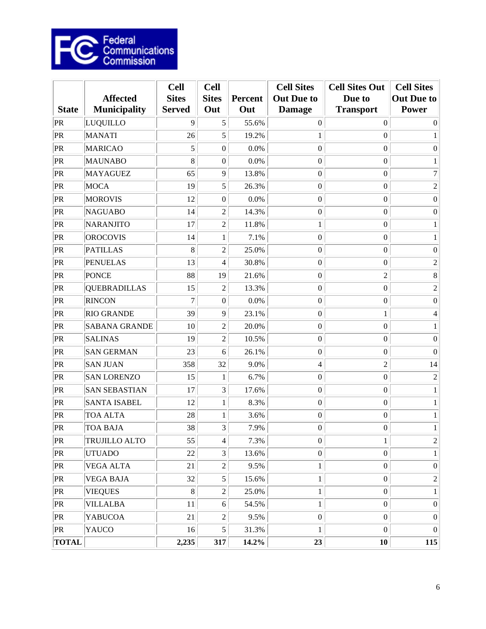

| <b>State</b> | <b>Affected</b><br><b>Municipality</b> | <b>Cell</b><br><b>Sites</b><br><b>Served</b> | <b>Cell</b><br><b>Sites</b><br>Out | <b>Percent</b><br>Out | <b>Cell Sites</b><br><b>Out Due to</b><br><b>Damage</b> | <b>Cell Sites Out</b><br>Due to<br><b>Transport</b> | <b>Cell Sites</b><br><b>Out Due to</b><br><b>Power</b> |
|--------------|----------------------------------------|----------------------------------------------|------------------------------------|-----------------------|---------------------------------------------------------|-----------------------------------------------------|--------------------------------------------------------|
| PR           | LUQUILLO                               | 9                                            | 5                                  | 55.6%                 | $\overline{0}$                                          | $\theta$                                            | $\Omega$                                               |
| PR           | <b>MANATI</b>                          | 26                                           | 5                                  | 19.2%                 | $\mathbf{1}$                                            | $\boldsymbol{0}$                                    | 1                                                      |
| PR           | <b>MARICAO</b>                         | 5                                            | $\boldsymbol{0}$                   | 0.0%                  | $\boldsymbol{0}$                                        | $\boldsymbol{0}$                                    | $\boldsymbol{0}$                                       |
| PR           | <b>MAUNABO</b>                         | 8                                            | 0                                  | 0.0%                  | $\boldsymbol{0}$                                        | $\boldsymbol{0}$                                    | 1                                                      |
| PR           | <b>MAYAGUEZ</b>                        | 65                                           | 9                                  | 13.8%                 | $\boldsymbol{0}$                                        | $\boldsymbol{0}$                                    | $\tau$                                                 |
| PR           | <b>MOCA</b>                            | 19                                           | 5                                  | 26.3%                 | $\boldsymbol{0}$                                        | $\boldsymbol{0}$                                    | $\sqrt{2}$                                             |
| PR           | <b>MOROVIS</b>                         | 12                                           | 0                                  | 0.0%                  | $\boldsymbol{0}$                                        | $\boldsymbol{0}$                                    | $\boldsymbol{0}$                                       |
| PR           | <b>NAGUABO</b>                         | 14                                           | $\overline{2}$                     | 14.3%                 | $\boldsymbol{0}$                                        | $\boldsymbol{0}$                                    | $\boldsymbol{0}$                                       |
| PR           | <b>NARANJITO</b>                       | 17                                           | $\overline{c}$                     | 11.8%                 | 1                                                       | $\boldsymbol{0}$                                    | 1                                                      |
| PR           | <b>OROCOVIS</b>                        | 14                                           | 1                                  | 7.1%                  | $\boldsymbol{0}$                                        | $\boldsymbol{0}$                                    | 1                                                      |
| PR           | <b>PATILLAS</b>                        | 8                                            | $\overline{2}$                     | 25.0%                 | $\boldsymbol{0}$                                        | $\boldsymbol{0}$                                    | $\boldsymbol{0}$                                       |
| PR           | <b>PENUELAS</b>                        | 13                                           | 4                                  | 30.8%                 | $\boldsymbol{0}$                                        | $\boldsymbol{0}$                                    | $\mathfrak{2}$                                         |
| PR           | <b>PONCE</b>                           | 88                                           | 19                                 | 21.6%                 | $\boldsymbol{0}$                                        | $\overline{c}$                                      | 8                                                      |
| PR           | <b>QUEBRADILLAS</b>                    | 15                                           | $\overline{c}$                     | 13.3%                 | $\boldsymbol{0}$                                        | $\boldsymbol{0}$                                    | $\sqrt{2}$                                             |
| PR           | <b>RINCON</b>                          | $\overline{7}$                               | $\boldsymbol{0}$                   | 0.0%                  | $\boldsymbol{0}$                                        | $\boldsymbol{0}$                                    | $\boldsymbol{0}$                                       |
| PR           | <b>RIO GRANDE</b>                      | 39                                           | 9                                  | 23.1%                 | $\boldsymbol{0}$                                        | $\mathbf{1}$                                        | 4                                                      |
| PR           | <b>SABANA GRANDE</b>                   | 10                                           | $\overline{c}$                     | 20.0%                 | $\boldsymbol{0}$                                        | $\boldsymbol{0}$                                    | 1                                                      |
| PR           | <b>SALINAS</b>                         | 19                                           | $\overline{c}$                     | 10.5%                 | $\boldsymbol{0}$                                        | $\boldsymbol{0}$                                    | $\boldsymbol{0}$                                       |
| PR           | <b>SAN GERMAN</b>                      | 23                                           | 6                                  | 26.1%                 | $\boldsymbol{0}$                                        | $\boldsymbol{0}$                                    | $\Omega$                                               |
| PR           | <b>SAN JUAN</b>                        | 358                                          | 32                                 | 9.0%                  | $\overline{4}$                                          | $\overline{c}$                                      | 14                                                     |
| PR           | <b>SAN LORENZO</b>                     | 15                                           | $\mathbf{1}$                       | 6.7%                  | $\boldsymbol{0}$                                        | $\boldsymbol{0}$                                    | $\overline{2}$                                         |
| PR           | <b>SAN SEBASTIAN</b>                   | 17                                           | 3                                  | 17.6%                 | $\boldsymbol{0}$                                        | $\boldsymbol{0}$                                    | 1                                                      |
| PR           | <b>SANTA ISABEL</b>                    | 12                                           | $\mathbf{1}$                       | 8.3%                  | $\boldsymbol{0}$                                        | $\boldsymbol{0}$                                    | $\mathbf{1}$                                           |
| $ {\rm PR}$  | <b>TOA ALTA</b>                        | 28                                           | 1                                  | 3.6%                  | $\boldsymbol{0}$                                        | $\boldsymbol{0}$                                    | 1                                                      |
| PR           | <b>TOA BAJA</b>                        | 38                                           | 3                                  | 7.9%                  | $\boldsymbol{0}$                                        | $\boldsymbol{0}$                                    | 1                                                      |
| PR           | TRUJILLO ALTO                          | 55                                           | $\overline{\mathbf{4}}$            | 7.3%                  | $\boldsymbol{0}$                                        | $\mathbf{1}$                                        | $\overline{2}$                                         |
| PR           | <b>UTUADO</b>                          | 22                                           | $\overline{3}$                     | 13.6%                 | $\boldsymbol{0}$                                        | $\boldsymbol{0}$                                    | $\mathbf{1}$                                           |
| PR           | <b>VEGA ALTA</b>                       | 21                                           | $\overline{c}$                     | 9.5%                  | $\mathbf{1}$                                            | $\boldsymbol{0}$                                    | $\boldsymbol{0}$                                       |
| PR           | <b>VEGA BAJA</b>                       | 32                                           | $\mathfrak{S}$                     | 15.6%                 | $\mathbf{1}$                                            | $\boldsymbol{0}$                                    | $\sqrt{2}$                                             |
| PR           | <b>VIEQUES</b>                         | 8                                            | $\overline{c}$                     | 25.0%                 | $\mathbf{1}$                                            | $\boldsymbol{0}$                                    | $\mathbf{1}$                                           |
| PR           | <b>VILLALBA</b>                        | 11                                           | 6                                  | 54.5%                 | $\mathbf{1}$                                            | $\boldsymbol{0}$                                    | $\boldsymbol{0}$                                       |
| PR           | <b>YABUCOA</b>                         | 21                                           | $\overline{c}$                     | 9.5%                  | $\boldsymbol{0}$                                        | $\boldsymbol{0}$                                    | $\boldsymbol{0}$                                       |
| PR           | <b>YAUCO</b>                           | 16                                           | 5 <sup>1</sup>                     | 31.3%                 | $\mathbf{1}$                                            | $\boldsymbol{0}$                                    | $\overline{0}$                                         |
| <b>TOTAL</b> |                                        | 2,235                                        | 317                                | 14.2%                 | 23                                                      | 10                                                  | 115                                                    |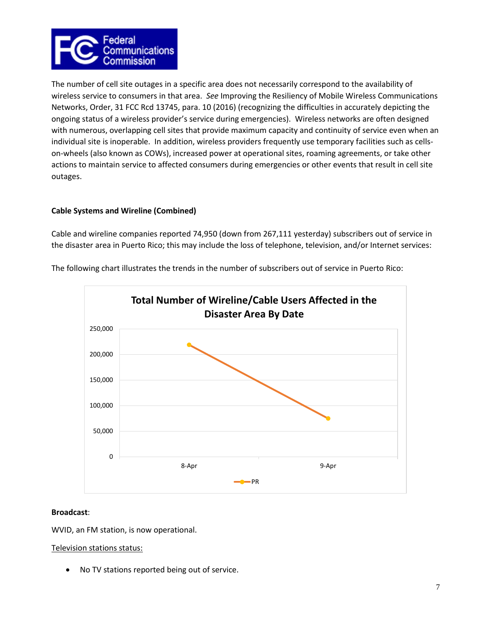

The number of cell site outages in a specific area does not necessarily correspond to the availability of wireless service to consumers in that area. *See* Improving the Resiliency of Mobile Wireless Communications Networks, Order, 31 FCC Rcd 13745, para. 10 (2016) (recognizing the difficulties in accurately depicting the ongoing status of a wireless provider's service during emergencies). Wireless networks are often designed with numerous, overlapping cell sites that provide maximum capacity and continuity of service even when an individual site is inoperable. In addition, wireless providers frequently use temporary facilities such as cellson-wheels (also known as COWs), increased power at operational sites, roaming agreements, or take other actions to maintain service to affected consumers during emergencies or other events that result in cell site outages.

# **Cable Systems and Wireline (Combined)**

Cable and wireline companies reported 74,950 (down from 267,111 yesterday) subscribers out of service in the disaster area in Puerto Rico; this may include the loss of telephone, television, and/or Internet services:



The following chart illustrates the trends in the number of subscribers out of service in Puerto Rico:

# **Broadcast**:

WVID, an FM station, is now operational.

# Television stations status:

• No TV stations reported being out of service.